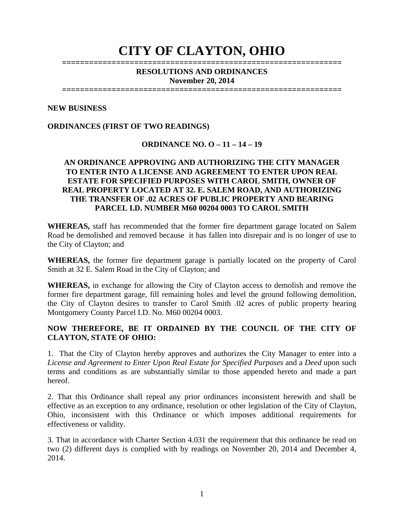# **CITY OF CLAYTON, OHIO**

#### **============================================================== RESOLUTIONS AND ORDINANCES November 20, 2014**

**==============================================================** 

#### **NEW BUSINESS**

#### **ORDINANCES (FIRST OF TWO READINGS)**

#### **ORDINANCE NO. O – 11 – 14 – 19**

#### **AN ORDINANCE APPROVING AND AUTHORIZING THE CITY MANAGER TO ENTER INTO A LICENSE AND AGREEMENT TO ENTER UPON REAL ESTATE FOR SPECIFIED PURPOSES WITH CAROL SMITH, OWNER OF REAL PROPERTY LOCATED AT 32. E. SALEM ROAD, AND AUTHORIZING THE TRANSFER OF .02 ACRES OF PUBLIC PROPERTY AND BEARING PARCEL I.D. NUMBER M60 00204 0003 TO CAROL SMITH**

**WHEREAS,** staff has recommended that the former fire department garage located on Salem Road be demolished and removed because it has fallen into disrepair and is no longer of use to the City of Clayton; and

**WHEREAS,** the former fire department garage is partially located on the property of Carol Smith at 32 E. Salem Road in the City of Clayton; and

**WHEREAS,** in exchange for allowing the City of Clayton access to demolish and remove the former fire department garage, fill remaining holes and level the ground following demolition, the City of Clayton desires to transfer to Carol Smith .02 acres of public property bearing Montgomery County Parcel I.D. No. M60 00204 0003.

#### **NOW THEREFORE, BE IT ORDAINED BY THE COUNCIL OF THE CITY OF CLAYTON, STATE OF OHIO:**

1. That the City of Clayton hereby approves and authorizes the City Manager to enter into a *License and Agreement to Enter Upon Real Estate for Specified Purposes* and a *Deed* upon such terms and conditions as are substantially similar to those appended hereto and made a part hereof.

2. That this Ordinance shall repeal any prior ordinances inconsistent herewith and shall be effective as an exception to any ordinance, resolution or other legislation of the City of Clayton, Ohio, inconsistent with this Ordinance or which imposes additional requirements for effectiveness or validity.

3. That in accordance with Charter Section 4.031 the requirement that this ordinance be read on two (2) different days is complied with by readings on November 20, 2014 and December 4, 2014.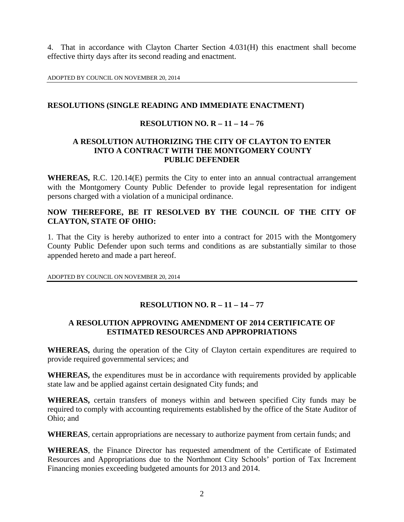4. That in accordance with Clayton Charter Section 4.031(H) this enactment shall become effective thirty days after its second reading and enactment.

ADOPTED BY COUNCIL ON NOVEMBER 20, 2014

#### **RESOLUTIONS (SINGLE READING AND IMMEDIATE ENACTMENT)**

#### **RESOLUTION NO. R – 11 – 14 – 76**

#### **A RESOLUTION AUTHORIZING THE CITY OF CLAYTON TO ENTER INTO A CONTRACT WITH THE MONTGOMERY COUNTY PUBLIC DEFENDER**

**WHEREAS,** R.C. 120.14(E) permits the City to enter into an annual contractual arrangement with the Montgomery County Public Defender to provide legal representation for indigent persons charged with a violation of a municipal ordinance.

#### **NOW THEREFORE, BE IT RESOLVED BY THE COUNCIL OF THE CITY OF CLAYTON, STATE OF OHIO:**

1. That the City is hereby authorized to enter into a contract for 2015 with the Montgomery County Public Defender upon such terms and conditions as are substantially similar to those appended hereto and made a part hereof.

ADOPTED BY COUNCIL ON NOVEMBER 20, 2014

## **RESOLUTION NO. R – 11 – 14 – 77**

#### **A RESOLUTION APPROVING AMENDMENT OF 2014 CERTIFICATE OF ESTIMATED RESOURCES AND APPROPRIATIONS**

**WHEREAS,** during the operation of the City of Clayton certain expenditures are required to provide required governmental services; and

**WHEREAS,** the expenditures must be in accordance with requirements provided by applicable state law and be applied against certain designated City funds; and

**WHEREAS,** certain transfers of moneys within and between specified City funds may be required to comply with accounting requirements established by the office of the State Auditor of Ohio; and

**WHEREAS**, certain appropriations are necessary to authorize payment from certain funds; and

**WHEREAS**, the Finance Director has requested amendment of the Certificate of Estimated Resources and Appropriations due to the Northmont City Schools' portion of Tax Increment Financing monies exceeding budgeted amounts for 2013 and 2014.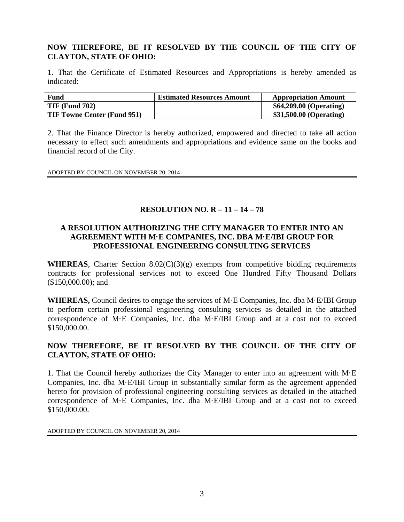## **NOW THEREFORE, BE IT RESOLVED BY THE COUNCIL OF THE CITY OF CLAYTON, STATE OF OHIO:**

1. That the Certificate of Estimated Resources and Appropriations is hereby amended as indicated:

| Fund                               | <b>Estimated Resources Amount</b> | <b>Appropriation Amount</b> |
|------------------------------------|-----------------------------------|-----------------------------|
| $TIF$ (Fund 702)                   |                                   | \$64,209.00 (Operating)     |
| <b>TIF Towne Center (Fund 951)</b> |                                   | \$31,500.00 (Operating)     |

2. That the Finance Director is hereby authorized, empowered and directed to take all action necessary to effect such amendments and appropriations and evidence same on the books and financial record of the City.

ADOPTED BY COUNCIL ON NOVEMBER 20, 2014

#### **RESOLUTION NO. R – 11 – 14 – 78**

#### **A RESOLUTION AUTHORIZING THE CITY MANAGER TO ENTER INTO AN AGREEMENT WITH M·E COMPANIES, INC. DBA M·E/IBI GROUP FOR PROFESSIONAL ENGINEERING CONSULTING SERVICES**

**WHEREAS**, Charter Section 8.02(C)(3)(g) exempts from competitive bidding requirements contracts for professional services not to exceed One Hundred Fifty Thousand Dollars (\$150,000.00); and

**WHEREAS,** Council desires to engage the services of M·E Companies, Inc. dba M·E/IBI Group to perform certain professional engineering consulting services as detailed in the attached correspondence of M·E Companies, Inc. dba M·E/IBI Group and at a cost not to exceed \$150,000.00.

## **NOW THEREFORE, BE IT RESOLVED BY THE COUNCIL OF THE CITY OF CLAYTON, STATE OF OHIO:**

1. That the Council hereby authorizes the City Manager to enter into an agreement with M·E Companies, Inc. dba M·E/IBI Group in substantially similar form as the agreement appended hereto for provision of professional engineering consulting services as detailed in the attached correspondence of M·E Companies, Inc. dba M·E/IBI Group and at a cost not to exceed \$150,000.00.

ADOPTED BY COUNCIL ON NOVEMBER 20, 2014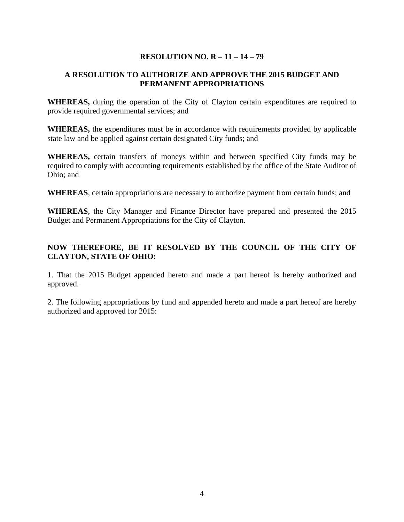# **RESOLUTION NO. R – 11 – 14 – 79**

# **A RESOLUTION TO AUTHORIZE AND APPROVE THE 2015 BUDGET AND PERMANENT APPROPRIATIONS**

**WHEREAS,** during the operation of the City of Clayton certain expenditures are required to provide required governmental services; and

**WHEREAS,** the expenditures must be in accordance with requirements provided by applicable state law and be applied against certain designated City funds; and

**WHEREAS,** certain transfers of moneys within and between specified City funds may be required to comply with accounting requirements established by the office of the State Auditor of Ohio; and

**WHEREAS**, certain appropriations are necessary to authorize payment from certain funds; and

**WHEREAS**, the City Manager and Finance Director have prepared and presented the 2015 Budget and Permanent Appropriations for the City of Clayton.

# **NOW THEREFORE, BE IT RESOLVED BY THE COUNCIL OF THE CITY OF CLAYTON, STATE OF OHIO:**

1. That the 2015 Budget appended hereto and made a part hereof is hereby authorized and approved.

2. The following appropriations by fund and appended hereto and made a part hereof are hereby authorized and approved for 2015: